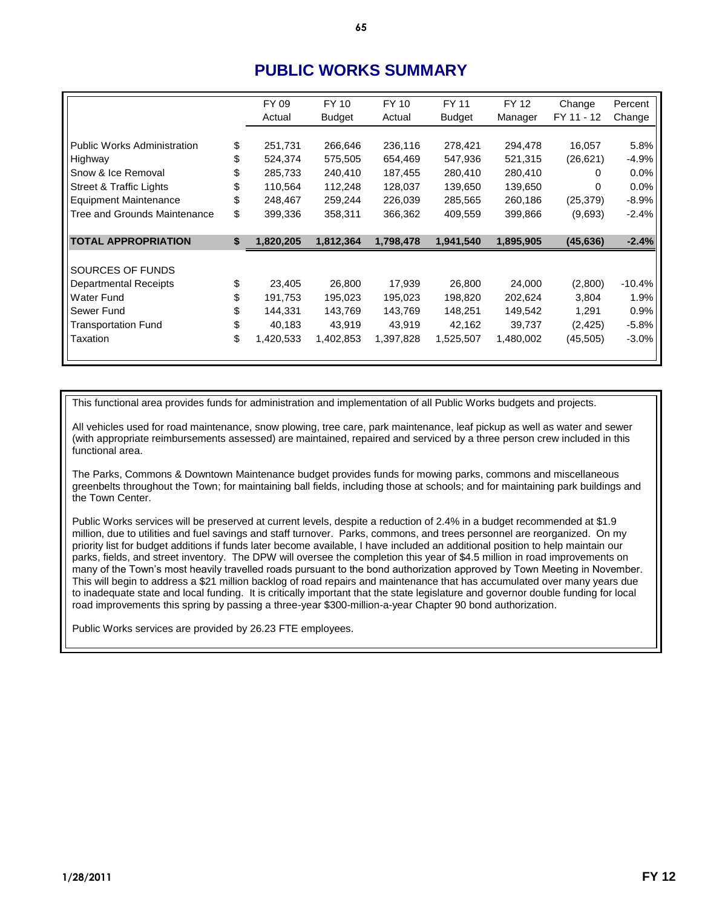## **PUBLIC WORKS SUMMARY**

|                                     |    | FY 09     | FY 10         | FY 10     | FY 11         | FY 12     | Change     | Percent  |
|-------------------------------------|----|-----------|---------------|-----------|---------------|-----------|------------|----------|
|                                     |    | Actual    | <b>Budget</b> | Actual    | <b>Budget</b> | Manager   | FY 11 - 12 | Change   |
|                                     |    |           |               |           |               |           |            |          |
| <b>Public Works Administration</b>  | \$ | 251,731   | 266,646       | 236,116   | 278,421       | 294,478   | 16,057     | 5.8%     |
| Highway                             | \$ | 524,374   | 575,505       | 654,469   | 547,936       | 521,315   | (26, 621)  | $-4.9%$  |
| Snow & Ice Removal                  | S  | 285,733   | 240,410       | 187,455   | 280,410       | 280,410   | 0          | $0.0\%$  |
| <b>Street &amp; Traffic Lights</b>  | S  | 110,564   | 112,248       | 128,037   | 139,650       | 139,650   | $\Omega$   | 0.0%     |
| <b>Equipment Maintenance</b>        | S  | 248,467   | 259,244       | 226,039   | 285,565       | 260,186   | (25, 379)  | $-8.9%$  |
| <b>Tree and Grounds Maintenance</b> | \$ | 399,336   | 358,311       | 366,362   | 409,559       | 399,866   | (9,693)    | $-2.4%$  |
|                                     |    |           |               |           |               |           |            |          |
| <b>TOTAL APPROPRIATION</b>          | \$ | 1,820,205 | 1,812,364     | 1,798,478 | 1,941,540     | 1,895,905 | (45, 636)  | $-2.4%$  |
|                                     |    |           |               |           |               |           |            |          |
| SOURCES OF FUNDS                    |    |           |               |           |               |           |            |          |
| <b>Departmental Receipts</b>        | \$ | 23,405    | 26,800        | 17,939    | 26,800        | 24,000    | (2,800)    | $-10.4%$ |
| <b>Water Fund</b>                   |    | 191,753   | 195,023       | 195,023   | 198,820       | 202,624   | 3,804      | 1.9%     |
| Sewer Fund                          | S  | 144,331   | 143,769       | 143,769   | 148,251       | 149,542   | 1,291      | 0.9%     |
| <b>Transportation Fund</b>          | \$ | 40,183    | 43,919        | 43,919    | 42,162        | 39,737    | (2, 425)   | $-5.8%$  |
| Taxation                            | \$ | 1,420,533 | 1,402,853     | 1,397,828 | 1,525,507     | 1,480,002 | (45, 505)  | $-3.0%$  |
|                                     |    |           |               |           |               |           |            |          |

This functional area provides funds for administration and implementation of all Public Works budgets and projects.

All vehicles used for road maintenance, snow plowing, tree care, park maintenance, leaf pickup as well as water and sewer (with appropriate reimbursements assessed) are maintained, repaired and serviced by a three person crew included in this functional area.

The Parks, Commons & Downtown Maintenance budget provides funds for mowing parks, commons and miscellaneous greenbelts throughout the Town; for maintaining ball fields, including those at schools; and for maintaining park buildings and the Town Center.

Public Works services will be preserved at current levels, despite a reduction of 2.4% in a budget recommended at \$1.9 million, due to utilities and fuel savings and staff turnover. Parks, commons, and trees personnel are reorganized. On my priority list for budget additions if funds later become available, I have included an additional position to help maintain our parks, fields, and street inventory. The DPW will oversee the completion this year of \$4.5 million in road improvements on many of the Town's most heavily travelled roads pursuant to the bond authorization approved by Town Meeting in November. This will begin to address a \$21 million backlog of road repairs and maintenance that has accumulated over many years due to inadequate state and local funding. It is critically important that the state legislature and governor double funding for local road improvements this spring by passing a three-year \$300-million-a-year Chapter 90 bond authorization.

Public Works services are provided by 26.23 FTE employees.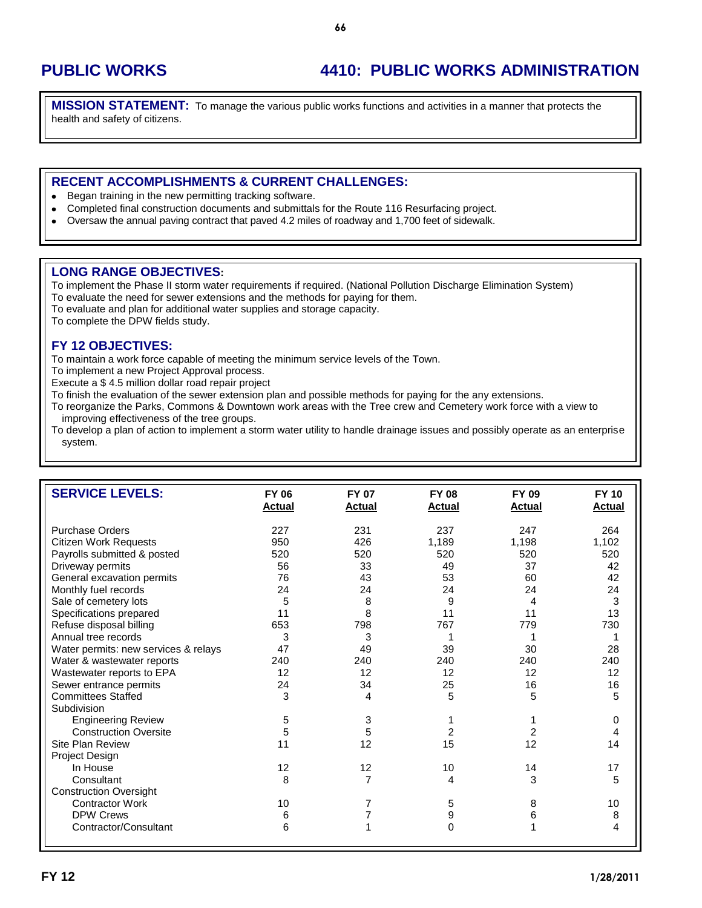# **PUBLIC WORKS 4410: PUBLIC WORKS ADMINISTRATION**

**MISSION STATEMENT:** To manage the various public works functions and activities in a manner that protects the health and safety of citizens.

#### **RECENT ACCOMPLISHMENTS & CURRENT CHALLENGES:**

- Began training in the new permitting tracking software.  $\bullet$
- Completed final construction documents and submittals for the Route 116 Resurfacing project.
- Oversaw the annual paving contract that paved 4.2 miles of roadway and 1,700 feet of sidewalk.  $\bullet$

#### **LONG RANGE OBJECTIVES:**

To implement the Phase II storm water requirements if required. (National Pollution Discharge Elimination System) To evaluate the need for sewer extensions and the methods for paying for them.

To evaluate and plan for additional water supplies and storage capacity.

To complete the DPW fields study.

#### **FY 12 OBJECTIVES:**

To maintain a work force capable of meeting the minimum service levels of the Town.

To implement a new Project Approval process.

Execute a \$ 4.5 million dollar road repair project

To finish the evaluation of the sewer extension plan and possible methods for paying for the any extensions.

To reorganize the Parks, Commons & Downtown work areas with the Tree crew and Cemetery work force with a view to improving effectiveness of the tree groups.

To develop a plan of action to implement a storm water utility to handle drainage issues and possibly operate as an enterprise system.

| <b>SERVICE LEVELS:</b>               | <b>FY 06</b><br><b>Actual</b> | <b>FY 07</b><br><b>Actual</b> | <b>FY 08</b><br><b>Actual</b> | FY 09<br><b>Actual</b> | <b>FY 10</b><br><b>Actual</b> |
|--------------------------------------|-------------------------------|-------------------------------|-------------------------------|------------------------|-------------------------------|
| <b>Purchase Orders</b>               | 227                           | 231                           | 237                           | 247                    | 264                           |
| <b>Citizen Work Requests</b>         | 950                           | 426                           | 1,189                         | 1,198                  | 1,102                         |
| Payrolls submitted & posted          | 520                           | 520                           | 520                           | 520                    | 520                           |
| Driveway permits                     | 56                            | 33                            | 49                            | 37                     | 42                            |
| General excavation permits           | 76                            | 43                            | 53                            | 60                     | 42                            |
| Monthly fuel records                 | 24                            | 24                            | 24                            | 24                     | 24                            |
| Sale of cemetery lots                | 5                             | 8                             | 9                             | 4                      | 3                             |
| Specifications prepared              | 11                            | 8                             | 11                            | 11                     | 13                            |
| Refuse disposal billing              | 653                           | 798                           | 767                           | 779                    | 730                           |
| Annual tree records                  | 3                             | 3                             |                               |                        |                               |
| Water permits: new services & relays | 47                            | 49                            | 39                            | 30                     | 28                            |
| Water & wastewater reports           | 240                           | 240                           | 240                           | 240                    | 240                           |
| Wastewater reports to EPA            | 12                            | 12                            | 12                            | 12                     | 12                            |
| Sewer entrance permits               | 24                            | 34                            | 25                            | 16                     | 16                            |
| <b>Committees Staffed</b>            | 3                             | 4                             | 5                             | 5                      | 5                             |
| Subdivision                          |                               |                               |                               |                        |                               |
| <b>Engineering Review</b>            | 5                             | 3                             |                               |                        | 0                             |
| <b>Construction Oversite</b>         | 5                             | 5                             | 2                             | 2                      | 4                             |
| Site Plan Review                     | 11                            | 12                            | 15                            | 12                     | 14                            |
| Project Design                       |                               |                               |                               |                        |                               |
| In House                             | 12                            | 12                            | 10                            | 14                     | 17                            |
| Consultant                           | 8                             | $\overline{7}$                | 4                             | 3                      | 5                             |
| <b>Construction Oversight</b>        |                               |                               |                               |                        |                               |
| <b>Contractor Work</b>               | 10                            | 7                             | 5                             | 8                      | 10                            |
| <b>DPW Crews</b>                     | 6                             | 7                             | 9                             | 6                      | 8                             |
| Contractor/Consultant                | 6                             | 1                             | 0                             |                        | 4                             |
|                                      |                               |                               |                               |                        |                               |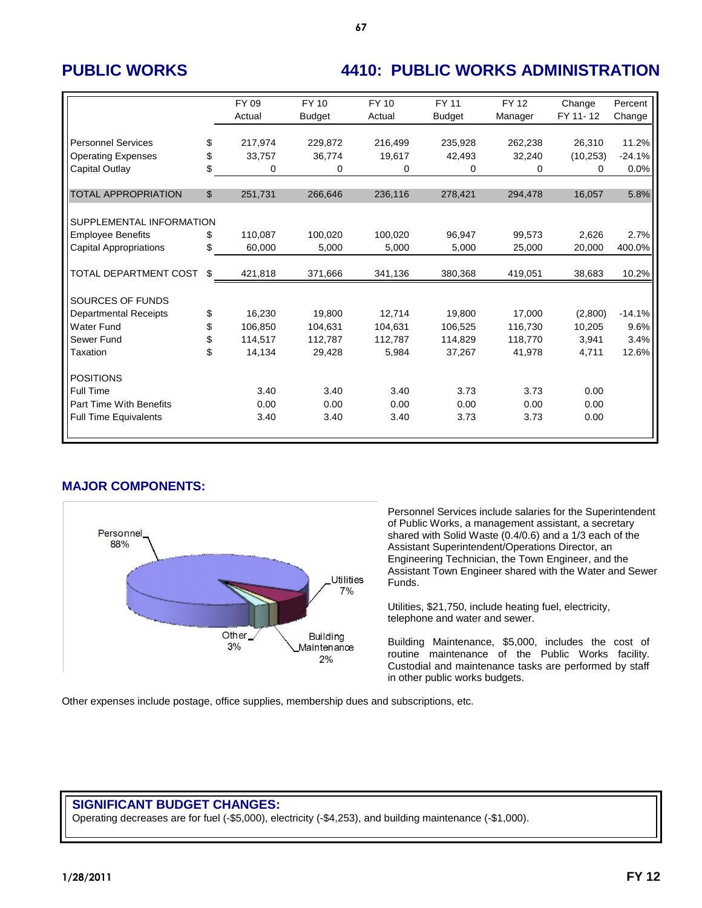# **PUBLIC WORKS 4410: PUBLIC WORKS ADMINISTRATION**

|                               |                | FY 09   | FY 10         | FY 10   | <b>FY 11</b>  | <b>FY 12</b> | Change    | Percent  |
|-------------------------------|----------------|---------|---------------|---------|---------------|--------------|-----------|----------|
|                               |                | Actual  | <b>Budget</b> | Actual  | <b>Budget</b> | Manager      | FY 11-12  | Change   |
| <b>Personnel Services</b>     | \$             | 217,974 | 229,872       | 216,499 | 235.928       | 262,238      | 26,310    | 11.2%    |
| <b>Operating Expenses</b>     | \$             | 33,757  | 36.774        | 19,617  | 42,493        | 32,240       | (10, 253) | $-24.1%$ |
| Capital Outlay                | \$             | 0       | 0             | 0       | 0             | 0            | 0         | 0.0%     |
|                               |                |         |               |         |               |              |           |          |
| <b>TOTAL APPROPRIATION</b>    | $\mathfrak{S}$ | 251,731 | 266,646       | 236,116 | 278,421       | 294,478      | 16,057    | 5.8%     |
|                               |                |         |               |         |               |              |           |          |
| SUPPLEMENTAL INFORMATION      |                |         |               |         |               |              |           |          |
| <b>Employee Benefits</b>      | \$             | 110.087 | 100,020       | 100,020 | 96.947        | 99.573       | 2,626     | 2.7%     |
| <b>Capital Appropriations</b> | \$             | 60,000  | 5,000         | 5,000   | 5,000         | 25,000       | 20,000    | 400.0%   |
|                               |                |         |               |         |               |              |           |          |
| TOTAL DEPARTMENT COST         | \$             | 421,818 | 371,666       | 341,136 | 380,368       | 419,051      | 38,683    | 10.2%    |
|                               |                |         |               |         |               |              |           |          |
| SOURCES OF FUNDS              |                |         |               |         |               |              |           |          |
| <b>Departmental Receipts</b>  | \$             | 16.230  | 19.800        | 12.714  | 19.800        | 17.000       | (2,800)   | $-14.1%$ |
| Water Fund                    | \$             | 106,850 | 104,631       | 104,631 | 106,525       | 116,730      | 10,205    | 9.6%     |
| Sewer Fund                    | \$             | 114,517 | 112,787       | 112,787 | 114,829       | 118,770      | 3,941     | 3.4%     |
| Taxation                      | \$             | 14,134  | 29,428        | 5,984   | 37,267        | 41,978       | 4,711     | 12.6%    |
|                               |                |         |               |         |               |              |           |          |
| <b>POSITIONS</b>              |                |         |               |         |               |              |           |          |
| Full Time                     |                | 3.40    | 3.40          | 3.40    | 3.73          | 3.73         | 0.00      |          |
| Part Time With Benefits       |                | 0.00    | 0.00          | 0.00    | 0.00          | 0.00         | 0.00      |          |
| <b>Full Time Equivalents</b>  |                | 3.40    | 3.40          | 3.40    | 3.73          | 3.73         | 0.00      |          |
|                               |                |         |               |         |               |              |           |          |

### **MAJOR COMPONENTS:**



Personnel Services include salaries for the Superintendent of Public Works, a management assistant, a secretary shared with Solid Waste (0.4/0.6) and a 1/3 each of the Assistant Superintendent/Operations Director, an Engineering Technician, the Town Engineer, and the Assistant Town Engineer shared with the Water and Sewer Funds.

Utilities, \$21,750, include heating fuel, electricity, telephone and water and sewer.

Building Maintenance, \$5,000, includes the cost of routine maintenance of the Public Works facility. Custodial and maintenance tasks are performed by staff in other public works budgets.

Other expenses include postage, office supplies, membership dues and subscriptions, etc.

### **SIGNIFICANT BUDGET CHANGES:**

Operating decreases are for fuel (-\$5,000), electricity (-\$4,253), and building maintenance (-\$1,000).

**67**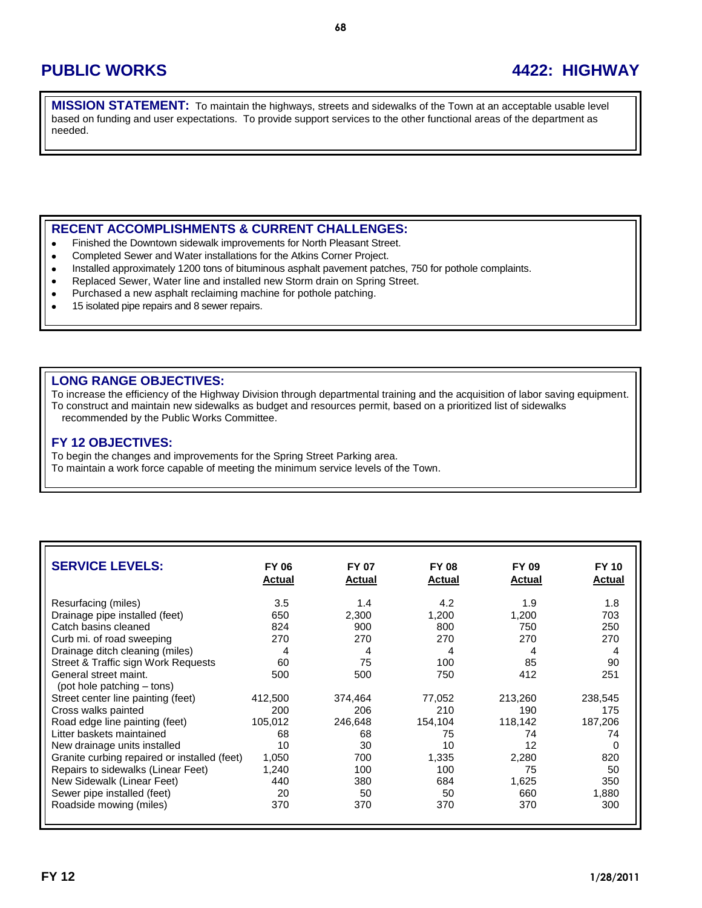## **PUBLIC WORKS 4422: HIGHWAY**

**MISSION STATEMENT:** To maintain the highways, streets and sidewalks of the Town at an acceptable usable level based on funding and user expectations. To provide support services to the other functional areas of the department as needed.

### **RECENT ACCOMPLISHMENTS & CURRENT CHALLENGES:**

- Finished the Downtown sidewalk improvements for North Pleasant Street.  $\bullet$
- Completed Sewer and Water installations for the Atkins Corner Project.  $\bullet$
- Installed approximately 1200 tons of bituminous asphalt pavement patches, 750 for pothole complaints.  $\bullet$
- Replaced Sewer, Water line and installed new Storm drain on Spring Street.  $\bullet$
- Purchased a new asphalt reclaiming machine for pothole patching.  $\bullet$
- 15 isolated pipe repairs and 8 sewer repairs.  $\bullet$

#### **LONG RANGE OBJECTIVES:**

To increase the efficiency of the Highway Division through departmental training and the acquisition of labor saving equipment. To construct and maintain new sidewalks as budget and resources permit, based on a prioritized list of sidewalks recommended by the Public Works Committee.

#### **FY 12 OBJECTIVES:**

To begin the changes and improvements for the Spring Street Parking area. To maintain a work force capable of meeting the minimum service levels of the Town.

| <b>SERVICE LEVELS:</b>                              | <b>FY 06</b><br><b>Actual</b> | <b>FY 07</b><br><b>Actual</b> | <b>FY 08</b><br><b>Actual</b> | FY 09<br><b>Actual</b> | <b>FY 10</b><br><b>Actual</b> |
|-----------------------------------------------------|-------------------------------|-------------------------------|-------------------------------|------------------------|-------------------------------|
| Resurfacing (miles)                                 | 3.5                           | 1.4                           | 4.2                           | 1.9                    | 1.8                           |
| Drainage pipe installed (feet)                      | 650                           | 2,300                         | 1,200                         | 1,200                  | 703                           |
| Catch basins cleaned                                | 824                           | 900                           | 800                           | 750                    | 250                           |
| Curb mi. of road sweeping                           | 270                           | 270                           | 270                           | 270                    | 270                           |
| Drainage ditch cleaning (miles)                     | 4                             | 4                             | 4                             | 4                      | 4                             |
| Street & Traffic sign Work Requests                 | 60                            | 75                            | 100                           | 85                     | 90                            |
| General street maint.<br>(pot hole patching – tons) | 500                           | 500                           | 750                           | 412                    | 251                           |
| Street center line painting (feet)                  | 412,500                       | 374,464                       | 77,052                        | 213,260                | 238,545                       |
| Cross walks painted                                 | 200                           | 206                           | 210                           | 190                    | 175                           |
| Road edge line painting (feet)                      | 105,012                       | 246,648                       | 154,104                       | 118,142                | 187,206                       |
| Litter baskets maintained                           | 68                            | 68                            | 75                            | 74                     | 74                            |
| New drainage units installed                        | 10                            | 30                            | 10                            | 12                     | 0                             |
| Granite curbing repaired or installed (feet)        | 1,050                         | 700                           | 1,335                         | 2,280                  | 820                           |
| Repairs to sidewalks (Linear Feet)                  | 1,240                         | 100                           | 100                           | 75                     | 50                            |
| New Sidewalk (Linear Feet)                          | 440                           | 380                           | 684                           | 1,625                  | 350                           |
| Sewer pipe installed (feet)                         | 20                            | 50                            | 50                            | 660                    | 1,880                         |
| Roadside mowing (miles)                             | 370                           | 370                           | 370                           | 370                    | 300                           |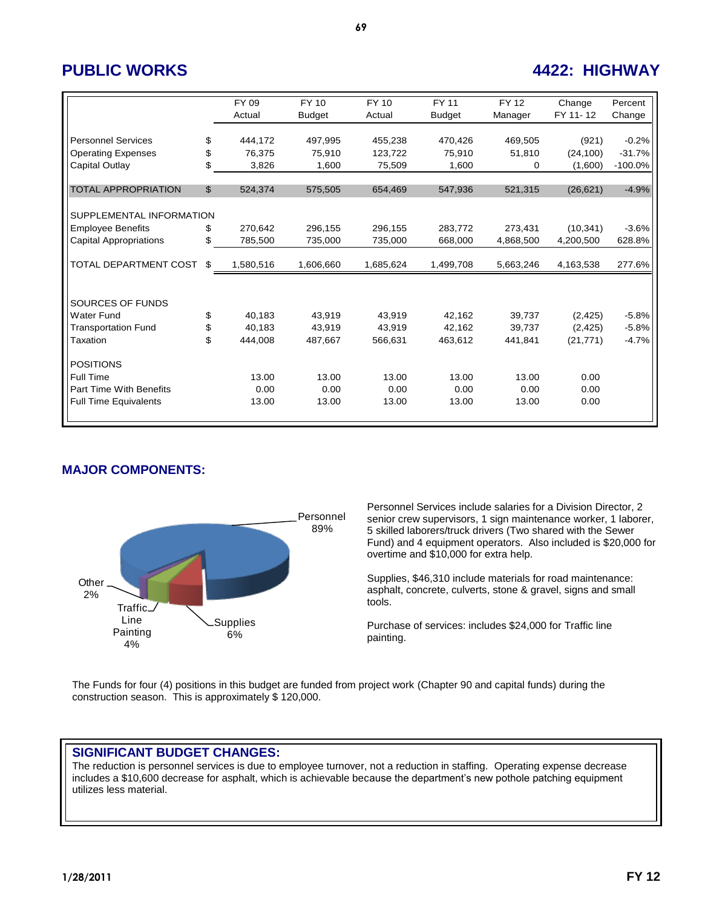## **PUBLIC WORKS 4422: HIGHWAY**

|                               |                | FY 09     | FY 10         | FY 10     | <b>FY 11</b>  | <b>FY12</b> | Change    | Percent   |
|-------------------------------|----------------|-----------|---------------|-----------|---------------|-------------|-----------|-----------|
|                               |                | Actual    | <b>Budget</b> | Actual    | <b>Budget</b> | Manager     | FY 11-12  | Change    |
|                               |                |           |               |           |               |             |           |           |
| <b>Personnel Services</b>     | \$             | 444,172   | 497.995       | 455,238   | 470,426       | 469.505     | (921)     | $-0.2%$   |
| <b>Operating Expenses</b>     | \$             | 76,375    | 75,910        | 123,722   | 75,910        | 51,810      | (24, 100) | $-31.7%$  |
| Capital Outlay                | \$             | 3,826     | 1,600         | 75,509    | 1.600         | $\Omega$    | (1,600)   | $-100.0%$ |
|                               |                |           |               |           |               |             |           |           |
| <b>TOTAL APPROPRIATION</b>    | $\mathfrak{S}$ | 524,374   | 575,505       | 654,469   | 547,936       | 521,315     | (26, 621) | $-4.9%$   |
|                               |                |           |               |           |               |             |           |           |
| SUPPLEMENTAL INFORMATION      |                |           |               |           |               |             |           |           |
| <b>Employee Benefits</b>      | \$             | 270,642   | 296,155       | 296,155   | 283,772       | 273,431     | (10, 341) | $-3.6%$   |
| <b>Capital Appropriations</b> | \$             | 785,500   | 735,000       | 735,000   | 668,000       | 4,868,500   | 4,200,500 | 628.8%    |
|                               |                |           |               |           |               |             |           |           |
| TOTAL DEPARTMENT COST         | \$             | 1,580,516 | 1,606,660     | 1,685,624 | 1,499,708     | 5,663,246   | 4,163,538 | 277.6%    |
|                               |                |           |               |           |               |             |           |           |
|                               |                |           |               |           |               |             |           |           |
| SOURCES OF FUNDS              |                |           |               |           |               |             |           |           |
| <b>Water Fund</b>             | \$             | 40,183    | 43.919        | 43.919    | 42.162        | 39.737      | (2, 425)  | $-5.8%$   |
| <b>Transportation Fund</b>    | \$             | 40,183    | 43,919        | 43,919    | 42,162        | 39,737      | (2, 425)  | $-5.8%$   |
| Taxation                      | \$             | 444,008   | 487,667       | 566,631   | 463,612       | 441,841     | (21, 771) | $-4.7%$   |
|                               |                |           |               |           |               |             |           |           |
| <b>POSITIONS</b>              |                |           |               |           |               |             |           |           |
| Full Time                     |                | 13.00     | 13.00         | 13.00     | 13.00         | 13.00       | 0.00      |           |
| Part Time With Benefits       |                | 0.00      | 0.00          | 0.00      | 0.00          | 0.00        | 0.00      |           |
| <b>Full Time Equivalents</b>  |                | 13.00     | 13.00         | 13.00     | 13.00         | 13.00       | 0.00      |           |
|                               |                |           |               |           |               |             |           |           |

### **MAJOR COMPONENTS:**



Personnel Services include salaries for a Division Director, 2 senior crew supervisors, 1 sign maintenance worker, 1 laborer, 5 skilled laborers/truck drivers (Two shared with the Sewer Fund) and 4 equipment operators. Also included is \$20,000 for overtime and \$10,000 for extra help.

Supplies, \$46,310 include materials for road maintenance: asphalt, concrete, culverts, stone & gravel, signs and small tools.

Purchase of services: includes \$24,000 for Traffic line painting.

The Funds for four (4) positions in this budget are funded from project work (Chapter 90 and capital funds) during the construction season. This is approximately \$ 120,000.

### **SIGNIFICANT BUDGET CHANGES:**

The reduction is personnel services is due to employee turnover, not a reduction in staffing. Operating expense decrease includes a \$10,600 decrease for asphalt, which is achievable because the department's new pothole patching equipment utilizes less material.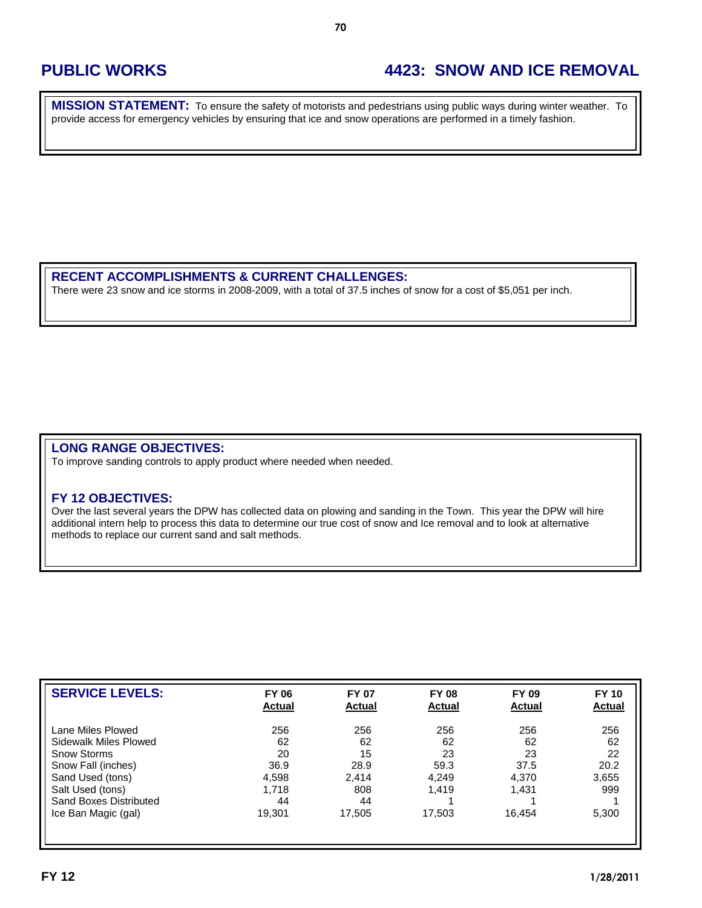## **PUBLIC WORKS 4423: SNOW AND ICE REMOVAL**

**MISSION STATEMENT:** To ensure the safety of motorists and pedestrians using public ways during winter weather. To provide access for emergency vehicles by ensuring that ice and snow operations are performed in a timely fashion.

#### **RECENT ACCOMPLISHMENTS & CURRENT CHALLENGES:**

There were 23 snow and ice storms in 2008-2009, with a total of 37.5 inches of snow for a cost of \$5,051 per inch.

### **LONG RANGE OBJECTIVES:**

To improve sanding controls to apply product where needed when needed.

#### **FY 12 OBJECTIVES:**

Over the last several years the DPW has collected data on plowing and sanding in the Town. This year the DPW will hire additional intern help to process this data to determine our true cost of snow and Ice removal and to look at alternative methods to replace our current sand and salt methods.

| <b>SERVICE LEVELS:</b> | <b>FY 06</b><br><b>Actual</b> | <b>FY 07</b><br><b>Actual</b> | <b>FY 08</b><br><b>Actual</b> | <b>FY 09</b><br><b>Actual</b> | <b>FY 10</b><br><b>Actual</b> |
|------------------------|-------------------------------|-------------------------------|-------------------------------|-------------------------------|-------------------------------|
| Lane Miles Plowed      | 256                           | 256                           | 256                           | 256                           | 256                           |
| Sidewalk Miles Plowed  | 62                            | 62                            | 62                            | 62                            | 62                            |
| Snow Storms            | 20                            | 15                            | 23                            | 23                            | 22                            |
| Snow Fall (inches)     | 36.9                          | 28.9                          | 59.3                          | 37.5                          | 20.2                          |
| Sand Used (tons)       | 4,598                         | 2.414                         | 4.249                         | 4,370                         | 3,655                         |
| Salt Used (tons)       | 1,718                         | 808                           | 1.419                         | 1.431                         | 999                           |
| Sand Boxes Distributed | 44                            | 44                            |                               |                               |                               |
| Ice Ban Magic (gal)    | 19.301                        | 17.505                        | 17,503                        | 16.454                        | 5,300                         |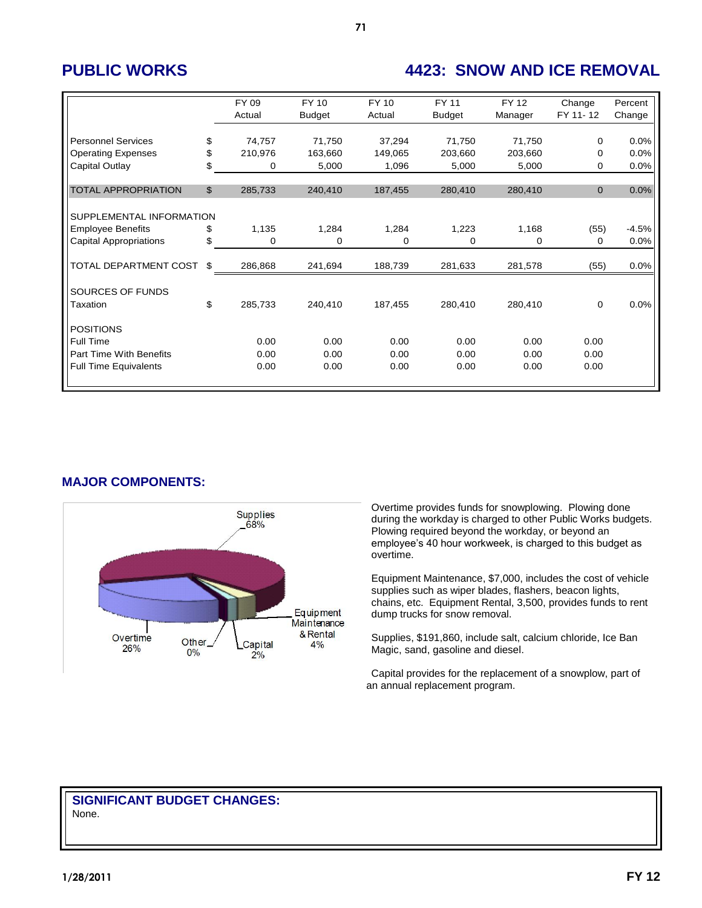## **PUBLIC WORKS 4423: SNOW AND ICE REMOVAL**

|                               | FY 09<br>Actual | FY 10<br><b>Budget</b> | <b>FY 10</b><br>Actual | FY 11<br><b>Budget</b> | FY 12<br>Manager | Change<br>FY 11-12 | Percent<br>Change |
|-------------------------------|-----------------|------------------------|------------------------|------------------------|------------------|--------------------|-------------------|
|                               |                 |                        |                        |                        |                  |                    |                   |
| <b>Personnel Services</b>     | \$<br>74,757    | 71,750                 | 37,294                 | 71,750                 | 71,750           | $\mathbf 0$        | 0.0%              |
| <b>Operating Expenses</b>     | \$<br>210,976   | 163,660                | 149,065                | 203,660                | 203,660          | $\Omega$           | 0.0%              |
| Capital Outlay                | \$<br>0         | 5,000                  | 1,096                  | 5,000                  | 5,000            | $\Omega$           | 0.0%              |
|                               |                 |                        |                        |                        |                  |                    |                   |
| <b>TOTAL APPROPRIATION</b>    | \$<br>285,733   | 240,410                | 187,455                | 280,410                | 280,410          | $\mathbf{0}$       | 0.0%              |
|                               |                 |                        |                        |                        |                  |                    |                   |
| SUPPLEMENTAL INFORMATION      |                 |                        |                        |                        |                  |                    |                   |
| <b>Employee Benefits</b>      | \$<br>1,135     | 1,284                  | 1,284                  | 1,223                  | 1,168            | (55)               | $-4.5%$           |
| <b>Capital Appropriations</b> | \$<br>0         | 0                      | 0                      | 0                      | 0                | $\Omega$           | 0.0%              |
|                               |                 |                        |                        |                        |                  |                    |                   |
| TOTAL DEPARTMENT COST         | \$<br>286,868   | 241,694                | 188,739                | 281,633                | 281,578          | (55)               | 0.0%              |
|                               |                 |                        |                        |                        |                  |                    |                   |
| SOURCES OF FUNDS              |                 |                        |                        |                        |                  |                    |                   |
| Taxation                      | \$<br>285,733   | 240,410                | 187,455                | 280,410                | 280,410          | $\mathbf 0$        | 0.0%              |
|                               |                 |                        |                        |                        |                  |                    |                   |
| <b>POSITIONS</b>              |                 |                        |                        |                        |                  |                    |                   |
| Full Time                     | 0.00            | 0.00                   | 0.00                   | 0.00                   | 0.00             | 0.00               |                   |
| Part Time With Benefits       | 0.00            | 0.00                   | 0.00                   | 0.00                   | 0.00             | 0.00               |                   |
| <b>Full Time Equivalents</b>  | 0.00            | 0.00                   | 0.00                   | 0.00                   | 0.00             | 0.00               |                   |
|                               |                 |                        |                        |                        |                  |                    |                   |

**MAJOR COMPONENTS:**



Overtime provides funds for snowplowing. Plowing done during the workday is charged to other Public Works budgets. Plowing required beyond the workday, or beyond an employee's 40 hour workweek, is charged to this budget as overtime.

Equipment Maintenance, \$7,000, includes the cost of vehicle supplies such as wiper blades, flashers, beacon lights, chains, etc. Equipment Rental, 3,500, provides funds to rent dump trucks for snow removal.

Supplies, \$191,860, include salt, calcium chloride, Ice Ban Magic, sand, gasoline and diesel.

Capital provides for the replacement of a snowplow, part of an annual replacement program.

#### **SIGNIFICANT BUDGET CHANGES:** None.

**71**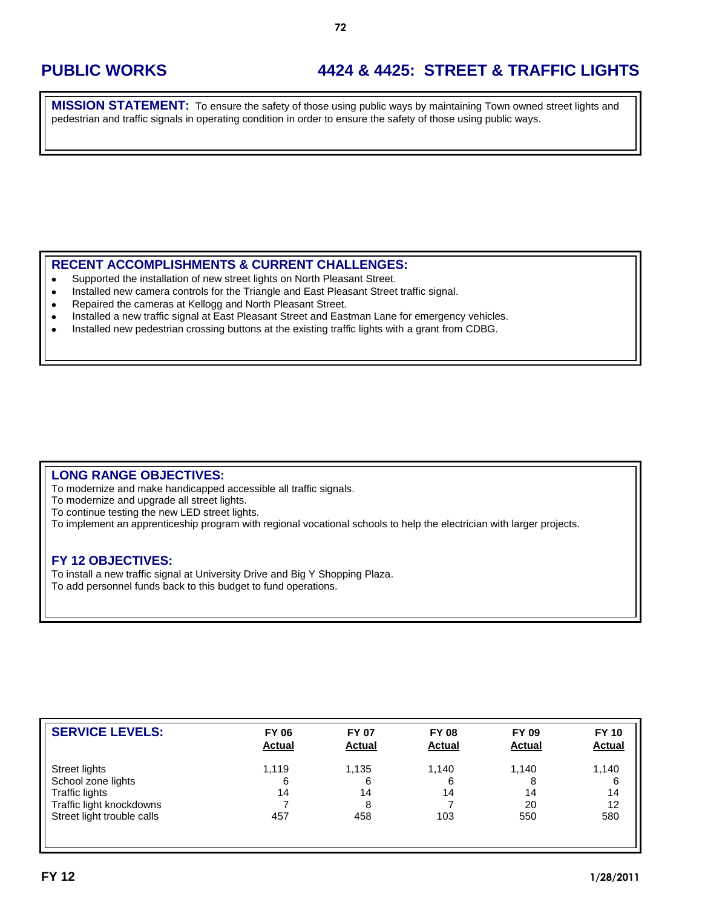# **PUBLIC WORKS 4424 & 4425: STREET & TRAFFIC LIGHTS**

**MISSION STATEMENT:** To ensure the safety of those using public ways by maintaining Town owned street lights and pedestrian and traffic signals in operating condition in order to ensure the safety of those using public ways.

### **RECENT ACCOMPLISHMENTS & CURRENT CHALLENGES:**

- Supported the installation of new street lights on North Pleasant Street.  $\bullet$
- Installed new camera controls for the Triangle and East Pleasant Street traffic signal.  $\bullet$
- $\bullet$ Repaired the cameras at Kellogg and North Pleasant Street.
- Installed a new traffic signal at East Pleasant Street and Eastman Lane for emergency vehicles.  $\bullet$
- Installed new pedestrian crossing buttons at the existing traffic lights with a grant from CDBG.  $\bullet$

### **LONG RANGE OBJECTIVES:**

To modernize and make handicapped accessible all traffic signals.

To modernize and upgrade all street lights.

To continue testing the new LED street lights.

To implement an apprenticeship program with regional vocational schools to help the electrician with larger projects.

### **FY 12 OBJECTIVES:**

To install a new traffic signal at University Drive and Big Y Shopping Plaza. To add personnel funds back to this budget to fund operations.

| <b>SERVICE LEVELS:</b>     | <b>FY 06</b><br><b>Actual</b> | <b>FY 07</b><br><b>Actual</b> | <b>FY 08</b><br><b>Actual</b> | <b>FY 09</b><br><b>Actual</b> | <b>FY 10</b><br><b>Actual</b> |
|----------------------------|-------------------------------|-------------------------------|-------------------------------|-------------------------------|-------------------------------|
| Street lights              | 1,119                         | 1,135                         | 1.140                         | 1.140                         | 1,140                         |
| School zone lights         | 6                             | 6                             | 6                             | 8                             | 6                             |
| Traffic lights             | 14                            | 14                            | 14                            | 14                            | 14                            |
| Traffic light knockdowns   |                               | 8                             |                               | 20                            | 12                            |
| Street light trouble calls | 457                           | 458                           | 103                           | 550                           | 580                           |
|                            |                               |                               |                               |                               |                               |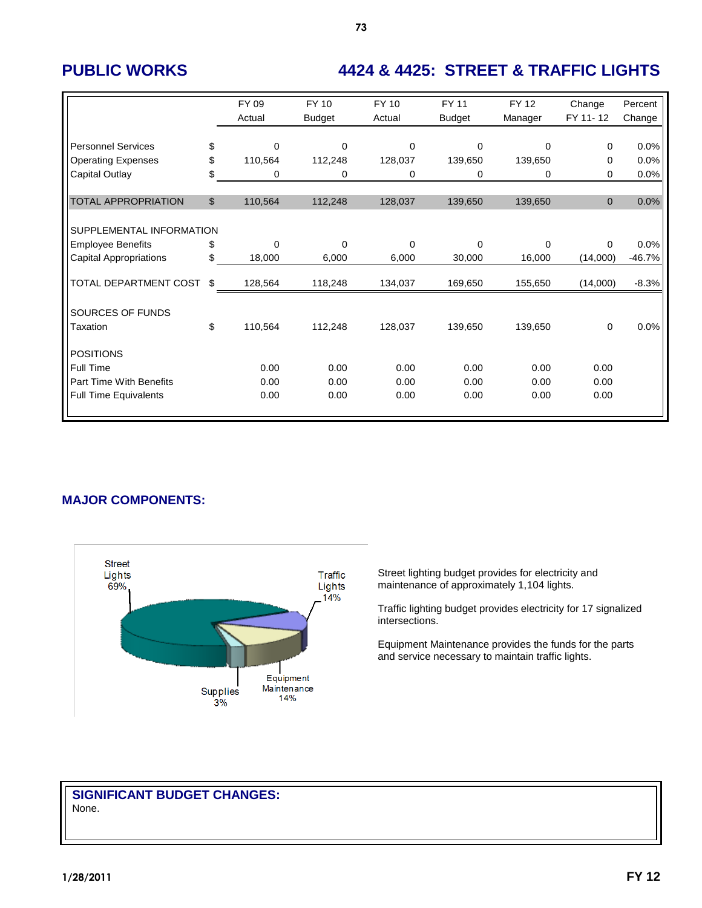# **PUBLIC WORKS 4424 & 4425: STREET & TRAFFIC LIGHTS**

|                                | FY 09<br>Actual   | FY 10<br><b>Budget</b> | <b>FY 10</b><br>Actual | <b>FY 11</b><br><b>Budget</b> | <b>FY 12</b><br>Manager | Change<br>FY 11-12 | Percent<br>Change |
|--------------------------------|-------------------|------------------------|------------------------|-------------------------------|-------------------------|--------------------|-------------------|
|                                |                   |                        |                        |                               |                         |                    |                   |
| <b>Personnel Services</b>      | \$<br>$\mathbf 0$ | $\Omega$               | $\mathbf 0$            | 0                             | $\Omega$                | 0                  | 0.0%              |
| <b>Operating Expenses</b>      | \$<br>110,564     | 112,248                | 128,037                | 139,650                       | 139,650                 | 0                  | 0.0%              |
| Capital Outlay                 | \$<br>0           | 0                      | 0                      | 0                             | 0                       | $\Omega$           | 0.0%              |
|                                |                   |                        |                        |                               |                         |                    |                   |
| <b>TOTAL APPROPRIATION</b>     | \$<br>110,564     | 112,248                | 128,037                | 139,650                       | 139,650                 | $\mathbf{0}$       | 0.0%              |
|                                |                   |                        |                        |                               |                         |                    |                   |
| SUPPLEMENTAL INFORMATION       |                   |                        |                        |                               |                         |                    |                   |
| <b>Employee Benefits</b>       | \$<br>$\Omega$    | $\Omega$               | $\Omega$               | $\Omega$                      | $\Omega$                | $\Omega$           | 0.0%              |
| <b>Capital Appropriations</b>  | \$<br>18,000      | 6,000                  | 6,000                  | 30,000                        | 16,000                  | (14,000)           | $-46.7%$          |
|                                |                   |                        |                        |                               |                         |                    |                   |
| TOTAL DEPARTMENT COST          | \$<br>128,564     | 118,248                | 134,037                | 169,650                       | 155,650                 | (14,000)           | $-8.3%$           |
|                                |                   |                        |                        |                               |                         |                    |                   |
| SOURCES OF FUNDS               |                   |                        |                        |                               |                         |                    |                   |
| Taxation                       | \$<br>110,564     | 112,248                | 128,037                | 139,650                       | 139,650                 | 0                  | 0.0%              |
|                                |                   |                        |                        |                               |                         |                    |                   |
| <b>POSITIONS</b>               |                   |                        |                        |                               |                         |                    |                   |
| Full Time                      | 0.00              | 0.00                   | 0.00                   | 0.00                          | 0.00                    | 0.00               |                   |
| <b>Part Time With Benefits</b> | 0.00              | 0.00                   | 0.00                   | 0.00                          | 0.00                    | 0.00               |                   |
| <b>Full Time Equivalents</b>   | 0.00              | 0.00                   | 0.00                   | 0.00                          | 0.00                    | 0.00               |                   |
|                                |                   |                        |                        |                               |                         |                    |                   |

### **MAJOR COMPONENTS:**



Street lighting budget provides for electricity and maintenance of approximately 1,104 lights.

Traffic lighting budget provides electricity for 17 signalized intersections.

Equipment Maintenance provides the funds for the parts and service necessary to maintain traffic lights.

#### **SIGNIFICANT BUDGET CHANGES:** None.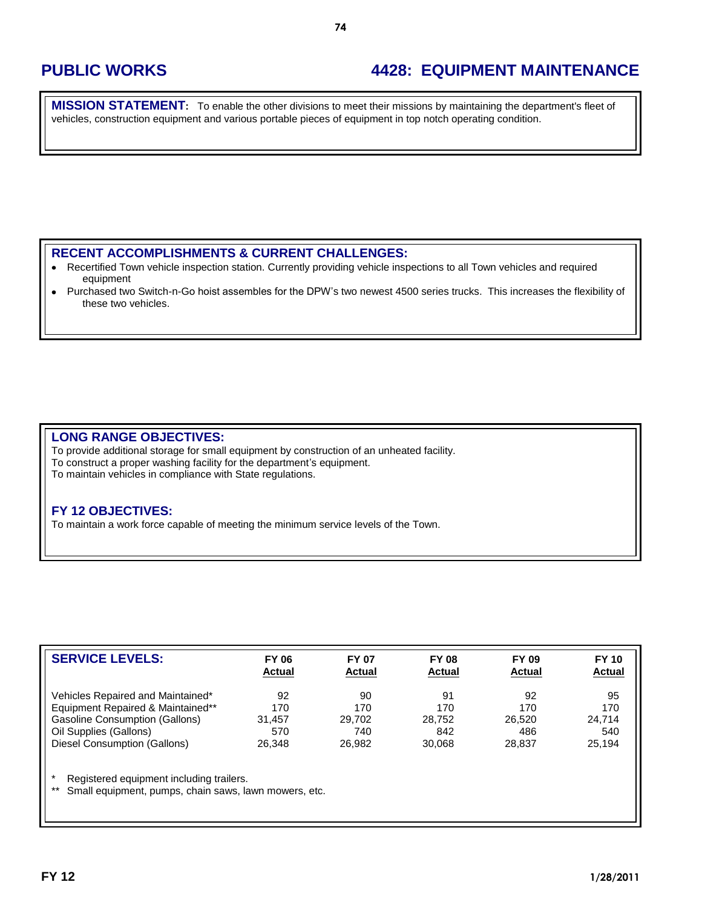## **PUBLIC WORKS 4428: EQUIPMENT MAINTENANCE**

**MISSION STATEMENT:** To enable the other divisions to meet their missions by maintaining the department's fleet of vehicles, construction equipment and various portable pieces of equipment in top notch operating condition.

### **RECENT ACCOMPLISHMENTS & CURRENT CHALLENGES:**

- Recertified Town vehicle inspection station. Currently providing vehicle inspections to all Town vehicles and required  $\bullet$ equipment
- Purchased two Switch-n-Go hoist assembles for the DPW's two newest 4500 series trucks. This increases the flexibility of  $\bullet$ these two vehicles.

#### **LONG RANGE OBJECTIVES:**

To provide additional storage for small equipment by construction of an unheated facility. To construct a proper washing facility for the department's equipment. To maintain vehicles in compliance with State regulations.

#### **FY 12 OBJECTIVES:**

To maintain a work force capable of meeting the minimum service levels of the Town.

| <b>SERVICE LEVELS:</b>            | <b>FY 06</b><br><b>Actual</b> | <b>FY 07</b><br><b>Actual</b> | <b>FY 08</b><br><b>Actual</b> | FY 09<br><b>Actual</b> | <b>FY 10</b><br><b>Actual</b> |
|-----------------------------------|-------------------------------|-------------------------------|-------------------------------|------------------------|-------------------------------|
| Vehicles Repaired and Maintained* | 92                            | 90                            | 91                            | 92                     | 95                            |
| Equipment Repaired & Maintained** | 170                           | 170                           | 170                           | 170                    | 170                           |
| Gasoline Consumption (Gallons)    | 31.457                        | 29.702                        | 28.752                        | 26.520                 | 24.714                        |
| Oil Supplies (Gallons)            | 570                           | 740                           | 842                           | 486                    | 540                           |
| Diesel Consumption (Gallons)      | 26.348                        | 26.982                        | 30,068                        | 28.837                 | 25,194                        |

\* Registered equipment including trailers.

Small equipment, pumps, chain saws, lawn mowers, etc.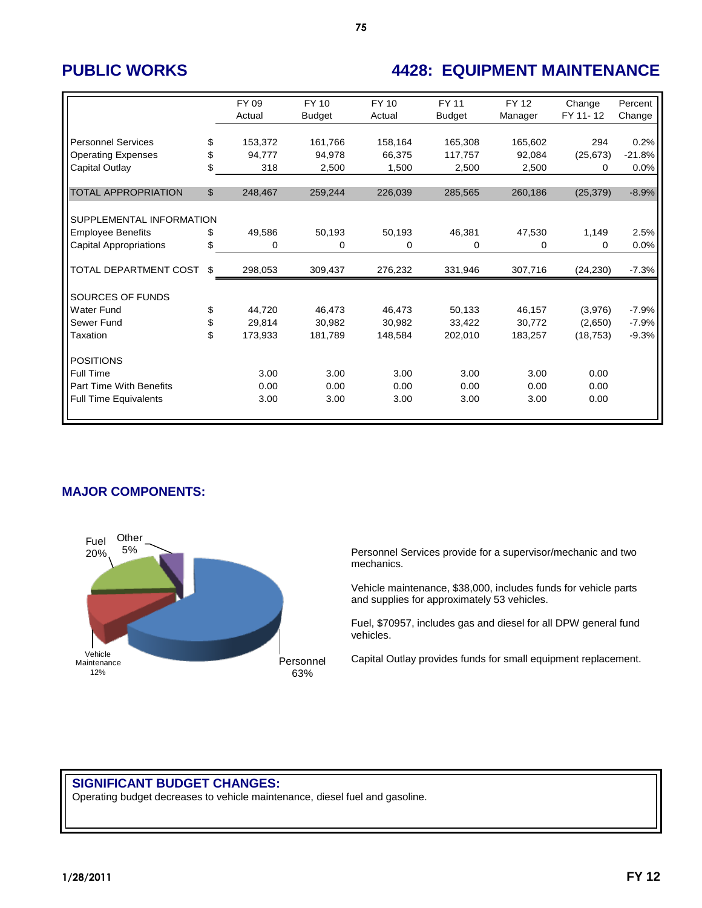## **PUBLIC WORKS 4428: EQUIPMENT MAINTENANCE**

|                                | FY 09<br>Actual | FY 10<br><b>Budget</b> | FY 10<br>Actual | <b>FY 11</b><br><b>Budget</b> | <b>FY 12</b><br>Manager | Change<br>FY 11-12 | Percent<br>Change |
|--------------------------------|-----------------|------------------------|-----------------|-------------------------------|-------------------------|--------------------|-------------------|
| <b>Personnel Services</b>      | \$<br>153,372   | 161,766                | 158,164         | 165,308                       | 165,602                 | 294                | 0.2%              |
| <b>Operating Expenses</b>      | \$<br>94,777    | 94,978                 | 66,375          | 117,757                       | 92,084                  | (25, 673)          | $-21.8%$          |
| Capital Outlay                 | \$<br>318       | 2,500                  | 1,500           | 2,500                         | 2,500                   | 0                  | 0.0%              |
|                                |                 |                        |                 |                               |                         |                    |                   |
| <b>TOTAL APPROPRIATION</b>     | \$<br>248,467   | 259,244                | 226,039         | 285,565                       | 260,186                 | (25, 379)          | $-8.9%$           |
| SUPPLEMENTAL INFORMATION       |                 |                        |                 |                               |                         |                    |                   |
| <b>Employee Benefits</b>       | \$<br>49,586    | 50,193                 | 50,193          | 46,381                        | 47,530                  | 1,149              | 2.5%              |
| <b>Capital Appropriations</b>  | \$<br>0         | 0                      | 0               | 0                             | 0                       | 0                  | 0.0%              |
| TOTAL DEPARTMENT COST          | \$<br>298,053   | 309,437                | 276,232         | 331,946                       | 307,716                 | (24, 230)          | $-7.3%$           |
| SOURCES OF FUNDS               |                 |                        |                 |                               |                         |                    |                   |
| <b>Water Fund</b>              | \$<br>44,720    | 46,473                 | 46,473          | 50,133                        | 46,157                  | (3,976)            | $-7.9%$           |
| Sewer Fund                     | \$<br>29.814    | 30.982                 | 30,982          | 33,422                        | 30.772                  | (2,650)            | $-7.9%$           |
| Taxation                       | \$<br>173,933   | 181,789                | 148,584         | 202,010                       | 183,257                 | (18, 753)          | $-9.3%$           |
| <b>POSITIONS</b>               |                 |                        |                 |                               |                         |                    |                   |
| <b>Full Time</b>               | 3.00            | 3.00                   | 3.00            | 3.00                          | 3.00                    | 0.00               |                   |
| <b>Part Time With Benefits</b> | 0.00            | 0.00                   | 0.00            | 0.00                          | 0.00                    | 0.00               |                   |
| <b>Full Time Equivalents</b>   | 3.00            | 3.00                   | 3.00            | 3.00                          | 3.00                    | 0.00               |                   |

### **MAJOR COMPONENTS:**



Personnel Services provide for a supervisor/mechanic and two mechanics.

Vehicle maintenance, \$38,000, includes funds for vehicle parts and supplies for approximately 53 vehicles.

Fuel, \$70957, includes gas and diesel for all DPW general fund vehicles.

Capital Outlay provides funds for small equipment replacement.

## **SIGNIFICANT BUDGET CHANGES:**

Operating budget decreases to vehicle maintenance, diesel fuel and gasoline.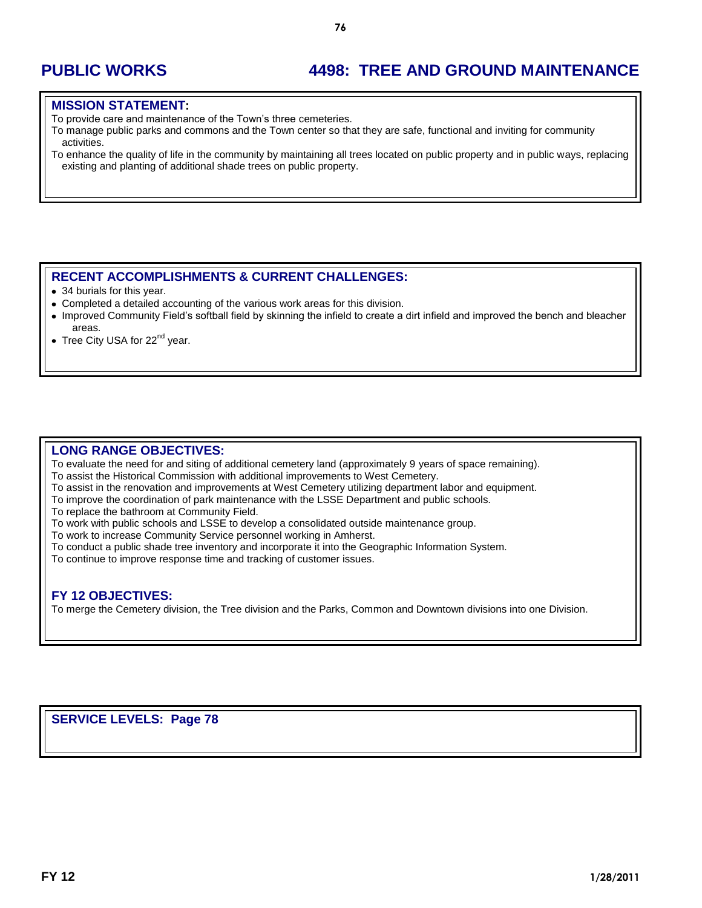# **PUBLIC WORKS 4498: TREE AND GROUND MAINTENANCE**

#### **MISSION STATEMENT:**

To provide care and maintenance of the Town's three cemeteries.

To manage public parks and commons and the Town center so that they are safe, functional and inviting for community activities.

To enhance the quality of life in the community by maintaining all trees located on public property and in public ways, replacing existing and planting of additional shade trees on public property.

#### **RECENT ACCOMPLISHMENTS & CURRENT CHALLENGES:**

34 burials for this year.

- Completed a detailed accounting of the various work areas for this division.
- Improved Community Field's softball field by skinning the infield to create a dirt infield and improved the bench and bleacher areas.
- Tree City USA for 22<sup>nd</sup> year.

#### **LONG RANGE OBJECTIVES:**

To evaluate the need for and siting of additional cemetery land (approximately 9 years of space remaining).

To assist the Historical Commission with additional improvements to West Cemetery.

- To assist in the renovation and improvements at West Cemetery utilizing department labor and equipment.
- To improve the coordination of park maintenance with the LSSE Department and public schools.

To replace the bathroom at Community Field.

To work with public schools and LSSE to develop a consolidated outside maintenance group.

To work to increase Community Service personnel working in Amherst.

- To conduct a public shade tree inventory and incorporate it into the Geographic Information System.
- To continue to improve response time and tracking of customer issues.

#### **FY 12 OBJECTIVES:**

To merge the Cemetery division, the Tree division and the Parks, Common and Downtown divisions into one Division.

**SERVICE LEVELS: Page 78**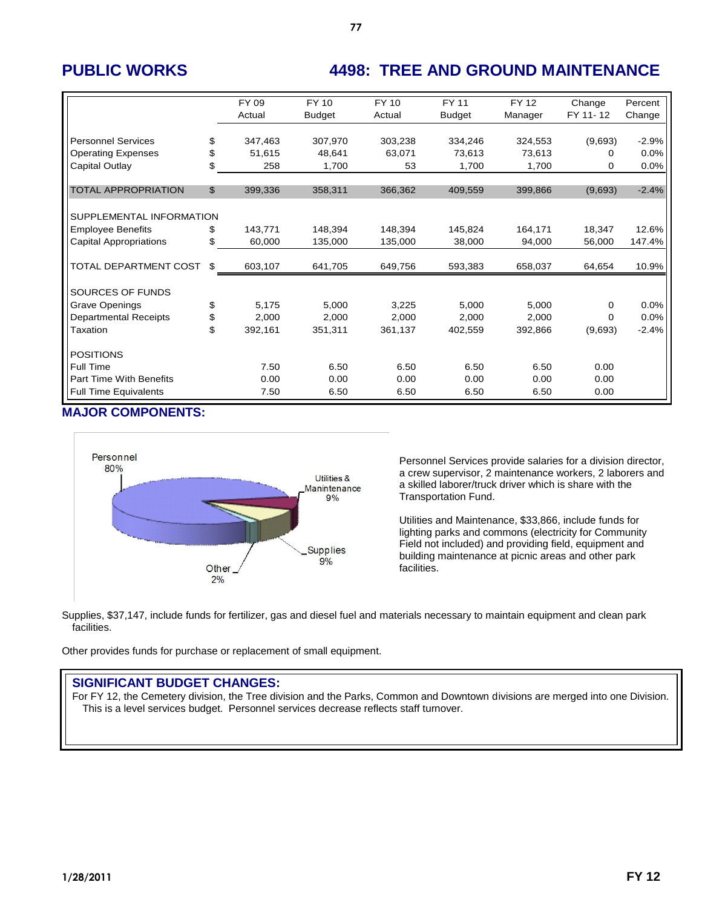# **PUBLIC WORKS 4498: TREE AND GROUND MAINTENANCE**

|                                | FY 09         | <b>FY 10</b>  | <b>FY10</b> | <b>FY 11</b>  | <b>FY12</b> | Change   | Percent |
|--------------------------------|---------------|---------------|-------------|---------------|-------------|----------|---------|
|                                | Actual        | <b>Budget</b> | Actual      | <b>Budget</b> | Manager     | FY 11-12 | Change  |
|                                |               |               |             |               |             |          |         |
| <b>Personnel Services</b>      | \$<br>347,463 | 307,970       | 303,238     | 334,246       | 324,553     | (9,693)  | $-2.9%$ |
| <b>Operating Expenses</b>      | \$<br>51,615  | 48,641        | 63,071      | 73,613        | 73,613      | 0        | 0.0%    |
| Capital Outlay                 | \$<br>258     | 1,700         | 53          | 1,700         | 1,700       | 0        | 0.0%    |
| <b>TOTAL APPROPRIATION</b>     | \$<br>399,336 | 358,311       | 366,362     | 409,559       | 399,866     | (9,693)  | $-2.4%$ |
|                                |               |               |             |               |             |          |         |
| SUPPLEMENTAL INFORMATION       |               |               |             |               |             |          |         |
| <b>Employee Benefits</b>       | \$<br>143.771 | 148,394       | 148.394     | 145.824       | 164,171     | 18,347   | 12.6%   |
| <b>Capital Appropriations</b>  | \$<br>60,000  | 135,000       | 135,000     | 38,000        | 94.000      | 56.000   | 147.4%  |
|                                |               |               |             |               |             |          |         |
| TOTAL DEPARTMENT COST          | \$<br>603,107 | 641,705       | 649,756     | 593,383       | 658,037     | 64,654   | 10.9%   |
|                                |               |               |             |               |             |          |         |
| SOURCES OF FUNDS               |               |               |             |               |             |          |         |
| <b>Grave Openings</b>          | \$<br>5,175   | 5,000         | 3,225       | 5,000         | 5,000       | $\Omega$ | 0.0%    |
| <b>Departmental Receipts</b>   | \$<br>2,000   | 2,000         | 2,000       | 2,000         | 2,000       | $\Omega$ | 0.0%    |
| Taxation                       | \$<br>392,161 | 351,311       | 361,137     | 402,559       | 392,866     | (9,693)  | $-2.4%$ |
| <b>POSITIONS</b>               |               |               |             |               |             |          |         |
|                                |               |               |             |               |             |          |         |
| <b>Full Time</b>               | 7.50          | 6.50          | 6.50        | 6.50          | 6.50        | 0.00     |         |
| <b>Part Time With Benefits</b> | 0.00          | 0.00          | 0.00        | 0.00          | 0.00        | 0.00     |         |
| <b>Full Time Equivalents</b>   | 7.50          | 6.50          | 6.50        | 6.50          | 6.50        | 0.00     |         |

#### **MAJOR COMPONENTS:**



Personnel Services provide salaries for a division director, a crew supervisor, 2 maintenance workers, 2 laborers and a skilled laborer/truck driver which is share with the Transportation Fund.

Utilities and Maintenance, \$33,866, include funds for lighting parks and commons (electricity for Community Field not included) and providing field, equipment and building maintenance at picnic areas and other park facilities.

Supplies, \$37,147, include funds for fertilizer, gas and diesel fuel and materials necessary to maintain equipment and clean park facilities.

Other provides funds for purchase or replacement of small equipment.

### **SIGNIFICANT BUDGET CHANGES:**

For FY 12, the Cemetery division, the Tree division and the Parks, Common and Downtown divisions are merged into one Division. This is a level services budget. Personnel services decrease reflects staff turnover.